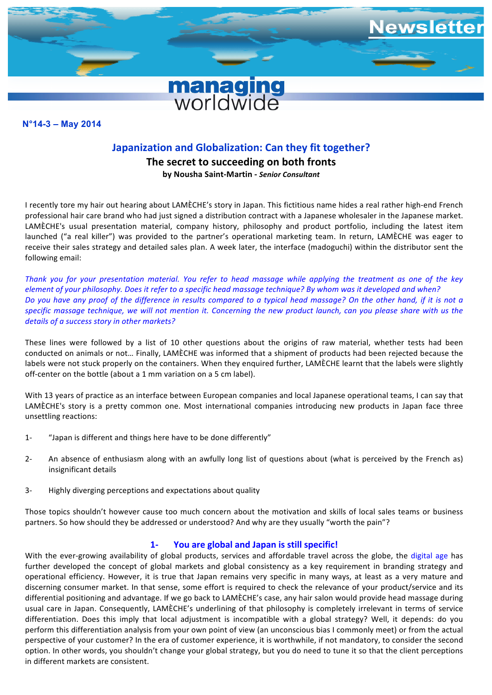

# **N°11-7 – December 2011 N°14-3 – May 2014**

# **Japanization and Globalization: Can they fit together?**

**The secret to succeeding on both fronts by Nousha Saint-Martin -** *Senior Consultant*

I recently tore my hair out hearing about LAMÈCHE's story in Japan. This fictitious name hides a real rather high-end French professional hair care brand who had just signed a distribution contract with a Japanese wholesaler in the Japanese market. LAMÈCHE's usual presentation material, company history, philosophy and product portfolio, including the latest item launched ("a real killer") was provided to the partner's operational marketing team. In return, LAMÈCHE was eager to receive their sales strategy and detailed sales plan. A week later, the interface (madoguchi) within the distributor sent the following email:

Thank you for your presentation material. You refer to head massage while applying the treatment as one of the key *element of your philosophy. Does it refer to a specific head massage technique? By whom was it developed and when? Do* you have any proof of the difference in results compared to a typical head massage? On the other hand, if it is not a specific massage technique, we will not mention it. Concerning the new product launch, can you please share with us the details of a success story in other markets?

These lines were followed by a list of 10 other questions about the origins of raw material, whether tests had been conducted on animals or not... Finally, LAMÈCHE was informed that a shipment of products had been rejected because the labels were not stuck properly on the containers. When they enquired further, LAMÈCHE learnt that the labels were slightly off-center on the bottle (about a 1 mm variation on a 5 cm label).

With 13 years of practice as an interface between European companies and local Japanese operational teams, I can say that LAMÈCHE's story is a pretty common one. Most international companies introducing new products in Japan face three unsettling reactions:

- 1- "Japan is different and things here have to be done differently"
- 2- An absence of enthusiasm along with an awfully long list of questions about (what is perceived by the French as) insignificant details
- 3- Highly diverging perceptions and expectations about quality

Those topics shouldn't however cause too much concern about the motivation and skills of local sales teams or business partners. So how should they be addressed or understood? And why are they usually "worth the pain"?

# **1- You are global and Japan is still specific!**

With the ever-growing availability of global products, services and affordable travel across the globe, the digital age has further developed the concept of global markets and global consistency as a key requirement in branding strategy and operational efficiency. However, it is true that Japan remains very specific in many ways, at least as a very mature and discerning consumer market. In that sense, some effort is required to check the relevance of your product/service and its differential positioning and advantage. If we go back to LAMÈCHE's case, any hair salon would provide head massage during usual care in Japan. Consequently, LAMÈCHE's underlining of that philosophy is completely irrelevant in terms of service differentiation. Does this imply that local adjustment is incompatible with a global strategy? Well, it depends: do you perform this differentiation analysis from your own point of view (an unconscious bias I commonly meet) or from the actual perspective of your customer? In the era of customer experience, it is worthwhile, if not mandatory, to consider the second option. In other words, you shouldn't change your global strategy, but you do need to tune it so that the client perceptions in different markets are consistent